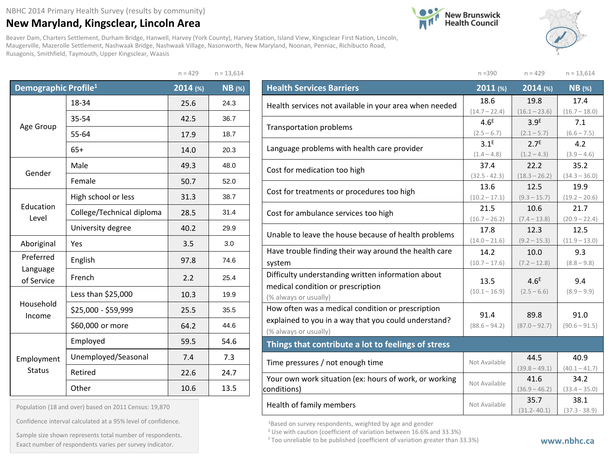## **New Maryland, Kingsclear, Lincoln Area**

Beaver Dam, Charters Settlement, Durham Bridge, Hanwell, Harvey (York County), Harvey Station, Island View, Kingsclear First Nation, Lincoln, Maugerville, Mazerolle Settlement, Nashwaak Bridge, Nashwaak Village, Nasonworth, New Maryland, Noonan, Penniac, Richibucto Road, Rusagonis, Smithfield, Taymouth, Upper Kingsclear, Waasis

 $n = 429$   $n = 13,614$ 





| Demographic Profile <sup>1</sup> |                           | 2014 (%) | <b>NB</b> (%) |
|----------------------------------|---------------------------|----------|---------------|
|                                  | 18-34                     | 25.6     | 24.3          |
|                                  | 35-54                     | 42.5     | 36.7          |
| Age Group                        | 55-64                     | 17.9     | 18.7          |
|                                  | $65+$                     | 14.0     | 20.3          |
| Gender                           | Male                      | 49.3     | 48.0          |
|                                  | Female                    | 50.7     | 52.0          |
|                                  | High school or less       | 31.3     | 38.7          |
| Education<br>Level               | College/Technical diploma | 28.5     | 31.4          |
|                                  | University degree         | 40.2     | 29.9          |
| Aboriginal                       | Yes                       | 3.5      | 3.0           |
| Preferred                        | English                   | 97.8     | 74.6          |
| Language<br>of Service           | French                    | 2.2      | 25.4          |
|                                  | Less than \$25,000        | 10.3     | 19.9          |
| Household<br>Income              | \$25,000 - \$59,999       | 25.5     | 35.5          |
|                                  | \$60,000 or more          | 64.2     | 44.6          |
|                                  | Employed                  | 59.5     | 54.6          |
| Employment                       | Unemployed/Seasonal       | 7.4      | 7.3           |
| <b>Status</b>                    | Retired                   | 22.6     | 24.7          |
|                                  | Other                     | 10.6     | 13.5          |

| Population (18 and over) based on 2011 Census: 19,870 |  |  |  |  |  |  |  |
|-------------------------------------------------------|--|--|--|--|--|--|--|
|-------------------------------------------------------|--|--|--|--|--|--|--|

Confidence interval calculated at a 95% level of confidence.

Exact number of respondents varies per survey indicator.<br>Exact number of respondents varies per survey indicator. Sample size shown represents total number of respondents.

|                                                        | $n = 390$                         | $n = 429$                         | $n = 13,614$         |
|--------------------------------------------------------|-----------------------------------|-----------------------------------|----------------------|
| <b>Health Services Barriers</b>                        | $2011$ (%)                        | 2014 (%)                          | <b>NB</b> (%)        |
| Health services not available in your area when needed | 18.6                              | 19.8                              | 17.4                 |
|                                                        | $(14.7 - 22.4)$                   | $(16.1 - 23.6)$                   | $(16.7 - 18.0)$      |
| <b>Transportation problems</b>                         | 4.6 <sup>E</sup><br>$(2.5 - 6.7)$ | 3.9 <sup>E</sup>                  | 7.1                  |
|                                                        | 3.1 <sup>E</sup>                  | $(2.1 - 5.7)$<br>2.7 <sup>E</sup> | $(6.6 - 7.5)$<br>4.2 |
| Language problems with health care provider            | $(1.4 - 4.8)$                     | $(1.2 - 4.3)$                     | $(3.9 - 4.6)$        |
| Cost for medication too high                           | 37.4                              | 22.2                              | 35.2                 |
|                                                        | $(32.5 - 42.3)$                   | $(18.3 - 26.2)$                   | $(34.3 - 36.0)$      |
| Cost for treatments or procedures too high             | 13.6                              | 12.5                              | 19.9                 |
|                                                        | $(10.2 - 17.1)$                   | $(9.3 - 15.7)$                    | $(19.2 - 20.6)$      |
| Cost for ambulance services too high                   | 21.5                              | 10.6                              | 21.7                 |
|                                                        | $(16.7 - 26.2)$                   | $(7.4 - 13.8)$                    | $(20.9 - 22.4)$      |
| Unable to leave the house because of health problems   | 17.8                              | 12.3                              | 12.5                 |
|                                                        | $(14.0 - 21.6)$                   | $(9.2 - 15.3)$                    | $(11.9 - 13.0)$      |
| Have trouble finding their way around the health care  | 14.2                              | 10.0                              | 9.3                  |
| system                                                 | $(10.7 - 17.6)$                   | $(7.2 - 12.8)$                    | $(8.8 - 9.8)$        |
| Difficulty understanding written information about     | 13.5                              | 4.6 <sup>E</sup>                  | 9.4                  |
| medical condition or prescription                      | $(10.1 - 16.9)$                   | $(2.5 - 6.6)$                     | $(8.9 - 9.9)$        |
| (% always or usually)                                  |                                   |                                   |                      |
| How often was a medical condition or prescription      | 91.4                              | 89.8                              | 91.0                 |
| explained to you in a way that you could understand?   | $(88.6 - 94.2)$                   | $(87.0 - 92.7)$                   | $(90.6 - 91.5)$      |
| (% always or usually)                                  |                                   |                                   |                      |
| Things that contribute a lot to feelings of stress     |                                   |                                   |                      |
| Time pressures / not enough time                       | Not Available                     | 44.5                              | 40.9                 |
|                                                        |                                   | $(39.8 - 49.1)$                   | $(40.1 - 41.7)$      |
| Your own work situation (ex: hours of work, or working | Not Available                     | 41.6                              | 34.2                 |
| conditions)                                            |                                   | $(36.9 - 46.2)$                   | $(33.4 - 35.0)$      |
| Health of family members                               | Not Available                     | 35.7                              | 38.1                 |
|                                                        |                                   | $(31.2 - 40.1)$                   | $(37.3 - 38.9)$      |

<sup>1</sup>Based on survey respondents, weighted by age and gender

E Use with caution (coefficient of variation between 16.6% and 33.3%)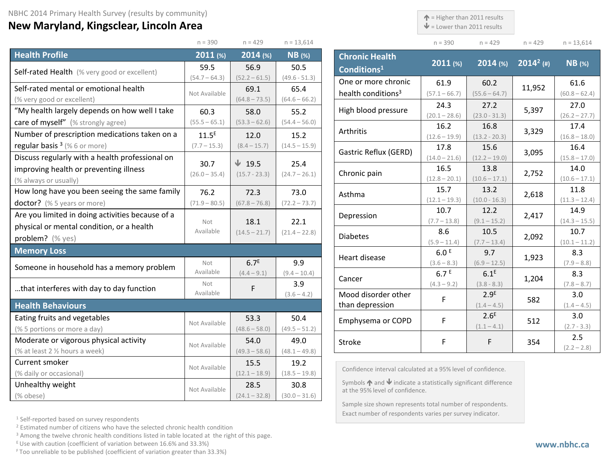## **New Maryland, Kingsclear, Lincoln Area**

 $\uparrow$  = Higher than 2011 results

Exact number of respondents varies per survey indicator.

 $\blacklozenge$  = Lower than 2011 results

 $n = 429$   $n = 429$   $n = 13,614$ 

 $(60.8 - 62.4)$ 

 $(26.2 - 27.7)$ 

 $(16.8 - 18.0)$ 

 $(15.8 - 17.0)$ 

 $(10.6 - 17.1)$ 

 $(11.3 - 12.4)$ 

 $(14.3 - 15.5)$ 

 $(10.1 - 11.2)$ 

 $(7.9 - 8.8)$ 

 $(7.8 - 8.7)$ 

 $(1.4 - 4.5)$ 

(2.7 - 3.3)

 $(2.2 - 2.8)$ 

|                                                  | $n = 390$                                             | $n = 429$        | $n = 13,614$    |                                                                                                                      | $n = 390$             | $n = 429$              | $n = 429$    | $n = 13,61$           |
|--------------------------------------------------|-------------------------------------------------------|------------------|-----------------|----------------------------------------------------------------------------------------------------------------------|-----------------------|------------------------|--------------|-----------------------|
| <b>Health Profile</b>                            | 2011 (%)                                              | 2014 (%)         | $NB$ (%)        | <b>Chronic Health</b>                                                                                                |                       |                        |              |                       |
| Self-rated Health (% very good or excellent)     | 59.5                                                  | 56.9             | 50.5            | Conditions <sup>1</sup>                                                                                              | 2011 (%)              | $2014$ (%)             | $2014^2$ (#) | <b>NB</b> (%)         |
|                                                  | $(54.7 - 64.3)$                                       | $(52.2 - 61.5)$  | $(49.6 - 51.3)$ | One or more chronic                                                                                                  | 61.9                  | 60.2                   |              | 61.6                  |
| Self-rated mental or emotional health            | Not Available                                         | 69.1             | 65.4            | health conditions <sup>3</sup>                                                                                       | $(57.1 - 66.7)$       | $(55.6 - 64.7)$        | 11,952       | $(60.8 - 62)$         |
| (% very good or excellent)                       |                                                       | $(64.8 - 73.5)$  | $(64.6 - 66.2)$ |                                                                                                                      | 24.3                  | 27.2                   |              | 27.0                  |
| "My health largely depends on how well I take    | 60.3                                                  | 58.0             | 55.2            | High blood pressure                                                                                                  | $(20.1 - 28.6)$       | $(23.0 - 31.3)$        | 5,397        | $(26.2 - 27)$         |
| care of myself" (% strongly agree)               | $(55.5 - 65.1)$                                       | $(53.3 - 62.6)$  | $(54.4 - 56.0)$ | <b>Arthritis</b>                                                                                                     | 16.2                  | 16.8                   | 3,329        | 17.4                  |
| Number of prescription medications taken on a    | 11.5 <sup>E</sup>                                     | 12.0             | 15.2            |                                                                                                                      | $(12.6 - 19.9)$       | $(13.2 - 20.3)$        |              | $(16.8 - 18)$         |
| regular basis <sup>3</sup> (%6 or more)          | $(7.7 - 15.3)$                                        | $(8.4 - 15.7)$   | $(14.5 - 15.9)$ | Gastric Reflux (GERD)                                                                                                | 17.8                  | 15.6                   | 3,095        | 16.4                  |
| Discuss regularly with a health professional on  | 30.7                                                  | $\sqrt{19.5}$    | 25.4            |                                                                                                                      | $(14.0 - 21.6)$       | $(12.2 - 19.0)$        |              | $(15.8 - 17)$         |
| improving health or preventing illness           | $(26.0 - 35.4)$                                       | $(15.7 - 23.3)$  | $(24.7 - 26.1)$ | Chronic pain                                                                                                         | 16.5                  | 13.8                   | 2,752        | 14.0                  |
| (% always or usually)                            |                                                       |                  |                 |                                                                                                                      | $(12.8 - 20.1)$       | $(10.6 - 17.1)$        |              | $(10.6 - 17)$         |
| How long have you been seeing the same family    | 76.2                                                  | 72.3             | 73.0            | Asthma                                                                                                               | 15.7                  | 13.2                   | 2,618        | 11.8                  |
| doctor? (% 5 years or more)                      | $(71.9 - 80.5)$                                       | $(67.8 - 76.8)$  | $(72.2 - 73.7)$ |                                                                                                                      | $(12.1 - 19.3)$       | $(10.0 - 16.3)$        |              | $(11.3 - 12)$         |
| Are you limited in doing activities because of a |                                                       |                  |                 | Depression                                                                                                           | 10.7                  | 12.2                   | 2,417        | 14.9                  |
| physical or mental condition, or a health        | Not<br>Available                                      | 18.1             | 22.1            |                                                                                                                      | $(7.7 - 13.8)$<br>8.6 | $(9.1 - 15.2)$<br>10.5 |              | $(14.3 - 15)$<br>10.7 |
| problem? (% yes)                                 | $(14.5 - 21.7)$<br>$(21.4 - 22.8)$<br><b>Diabetes</b> | $(5.9 - 11.4)$   | $(7.7 - 13.4)$  | 2,092                                                                                                                | $(10.1 - 11)$         |                        |              |                       |
| <b>Memory Loss</b>                               |                                                       |                  |                 |                                                                                                                      | 6.0 <sup>E</sup>      | 9.7                    |              | 8.3                   |
|                                                  | Not                                                   | 6.7 <sup>E</sup> | 9.9             | Heart disease                                                                                                        | $(3.6 - 8.3)$         | $(6.9 - 12.5)$         | 1,923        | $(7.9 - 8.8)$         |
| Someone in household has a memory problem        | Available                                             | $(4.4 - 9.1)$    | $(9.4 - 10.4)$  |                                                                                                                      | 6.7 <sup>E</sup>      | 6.1 <sup>E</sup>       |              | 8.3                   |
| that interferes with day to day function         | Not                                                   | F                | 3.9             | Cancer                                                                                                               | $(4.3 - 9.2)$         | $(3.8 - 8.3)$          | 1,204        | $(7.8 - 8.7)$         |
|                                                  | Available                                             |                  | $(3.6 - 4.2)$   | Mood disorder other                                                                                                  | F                     | 2.9 <sup>E</sup>       | 582          | 3.0                   |
| <b>Health Behaviours</b>                         |                                                       |                  |                 | than depression                                                                                                      |                       | $(1.4 - 4.5)$          |              | $(1.4 - 4.5)$         |
| Eating fruits and vegetables                     |                                                       | 53.3             | 50.4            | Emphysema or COPD                                                                                                    | F                     | 2.6 <sup>E</sup>       | 512          | 3.0                   |
| (% 5 portions or more a day)                     | Not Available                                         | $(48.6 - 58.0)$  | $(49.5 - 51.2)$ |                                                                                                                      |                       | $(1.1 - 4.1)$          |              | $(2.7 - 3.3)$         |
| Moderate or vigorous physical activity           | Not Available                                         | 54.0             | 49.0            | Stroke                                                                                                               | F                     | F                      | 354          | 2.5                   |
| (% at least 2 % hours a week)                    |                                                       | $(49.3 - 58.6)$  | $(48.1 - 49.8)$ |                                                                                                                      |                       |                        |              | $(2.2 - 2.8)$         |
| Current smoker                                   | Not Available                                         | 15.5             | 19.2            |                                                                                                                      |                       |                        |              |                       |
| (% daily or occasional)                          |                                                       | $(12.1 - 18.9)$  | $(18.5 - 19.8)$ | Confidence interval calculated at a 95% level of confidence.                                                         |                       |                        |              |                       |
| Unhealthy weight                                 | Not Available                                         | 28.5             | 30.8            | Symbols $\bigwedge$ and $\bigvee$ indicate a statistically significant difference<br>at the 95% level of confidence. |                       |                        |              |                       |
| (% obese)                                        |                                                       | $(24.1 - 32.8)$  | $(30.0 - 31.6)$ |                                                                                                                      |                       |                        |              |                       |
|                                                  |                                                       |                  |                 | Sample size shown represents total number of respondents.                                                            |                       |                        |              |                       |

<sup>1</sup> Self-reported based on survey respondents

<sup>2</sup> Estimated number of citizens who have the selected chronic health condition

<sup>3</sup> Among the twelve chronic health conditions listed in table located at the right of this page.

E Use with caution (coefficient of variation between 16.6% and 33.3%)

F Too unreliable to be published (coefficient of variation greater than 33.3%)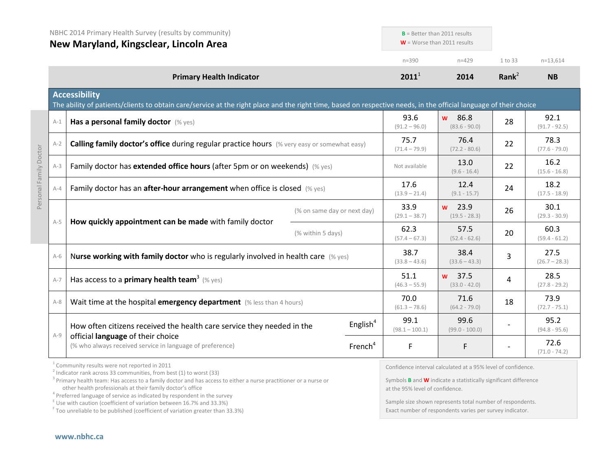|                        | NBHC 2014 Primary Health Survey (results by community)<br>New Maryland, Kingsclear, Lincoln Area |                                                                                                                                                                                                                                                                                                                                                                                                                               | $B$ = Better than 2011 results<br>$W =$ Worse than 2011 results |                                 |                                                                                                                                               |                         |                         |
|------------------------|--------------------------------------------------------------------------------------------------|-------------------------------------------------------------------------------------------------------------------------------------------------------------------------------------------------------------------------------------------------------------------------------------------------------------------------------------------------------------------------------------------------------------------------------|-----------------------------------------------------------------|---------------------------------|-----------------------------------------------------------------------------------------------------------------------------------------------|-------------------------|-------------------------|
|                        |                                                                                                  |                                                                                                                                                                                                                                                                                                                                                                                                                               |                                                                 | $n = 390$                       | $n = 429$                                                                                                                                     | 1 to 33                 | $n=13,614$              |
|                        |                                                                                                  | <b>Primary Health Indicator</b>                                                                                                                                                                                                                                                                                                                                                                                               |                                                                 | $2011^1$                        | 2014                                                                                                                                          | Rank <sup>2</sup>       | <b>NB</b>               |
|                        |                                                                                                  | <b>Accessibility</b><br>The ability of patients/clients to obtain care/service at the right place and the right time, based on respective needs, in the official language of their choice                                                                                                                                                                                                                                     |                                                                 |                                 |                                                                                                                                               |                         |                         |
|                        | $A-1$                                                                                            | Has a personal family doctor (% yes)                                                                                                                                                                                                                                                                                                                                                                                          |                                                                 | 93.6<br>$(91.2 - 96.0)$         | 86.8<br><b>W</b><br>$(83.6 - 90.0)$                                                                                                           | 28                      | 92.1<br>$(91.7 - 92.5)$ |
|                        | $A-2$                                                                                            | Calling family doctor's office during regular practice hours (% very easy or somewhat easy)                                                                                                                                                                                                                                                                                                                                   |                                                                 |                                 | 76.4<br>$(72.2 - 80.6)$                                                                                                                       | 22                      | 78.3<br>$(77.6 - 79.0)$ |
| Personal Family Doctor | $A-3$                                                                                            | Family doctor has extended office hours (after 5pm or on weekends) (% yes)                                                                                                                                                                                                                                                                                                                                                    |                                                                 |                                 | 13.0<br>$(9.6 - 16.4)$                                                                                                                        | 22                      | 16.2<br>$(15.6 - 16.8)$ |
|                        | $A - 4$                                                                                          | Family doctor has an after-hour arrangement when office is closed (% yes)                                                                                                                                                                                                                                                                                                                                                     | 17.6<br>$(13.9 - 21.4)$                                         | 12.4<br>$(9.1 - 15.7)$          | 24                                                                                                                                            | 18.2<br>$(17.5 - 18.9)$ |                         |
|                        |                                                                                                  | How quickly appointment can be made with family doctor                                                                                                                                                                                                                                                                                                                                                                        | (% on same day or next day)                                     | 33.9<br>$(29.1 - 38.7)$         | $w$ 23.9<br>$(19.5 - 28.3)$                                                                                                                   | 26                      | 30.1<br>$(29.3 - 30.9)$ |
|                        | $A-5$                                                                                            | (% within 5 days)                                                                                                                                                                                                                                                                                                                                                                                                             |                                                                 | 62.3<br>$(57.4 - 67.3)$         | 57.5<br>$(52.4 - 62.6)$                                                                                                                       | 20                      | 60.3<br>$(59.4 - 61.2)$ |
|                        | $A-6$                                                                                            | Nurse working with family doctor who is regularly involved in health care $(\%$ yes)<br>Has access to a <b>primary health team</b> <sup>3</sup> (% yes)                                                                                                                                                                                                                                                                       |                                                                 |                                 | 38.4<br>$(33.6 - 43.3)$                                                                                                                       | 3                       | 27.5<br>$(26.7 - 28.3)$ |
|                        | $A-7$                                                                                            |                                                                                                                                                                                                                                                                                                                                                                                                                               |                                                                 |                                 | w 37.5<br>$(33.0 - 42.0)$                                                                                                                     | 4                       | 28.5<br>$(27.8 - 29.2)$ |
|                        | $A-8$                                                                                            | Wait time at the hospital emergency department (% less than 4 hours)                                                                                                                                                                                                                                                                                                                                                          |                                                                 | 70.0<br>$(61.3 - 78.6)$         | 71.6<br>$(64.2 - 79.0)$                                                                                                                       | 18                      | 73.9<br>$(72.7 - 75.1)$ |
|                        |                                                                                                  | How often citizens received the health care service they needed in the                                                                                                                                                                                                                                                                                                                                                        | English $4$                                                     | 99.1<br>$(98.1 - 100.1)$        | 99.6<br>$(99.0 - 100.0)$                                                                                                                      |                         | 95.2<br>$(94.8 - 95.6)$ |
|                        | $A-9$                                                                                            | official language of their choice<br>(% who always received service in language of preference)                                                                                                                                                                                                                                                                                                                                | French <sup>4</sup>                                             | F                               | F                                                                                                                                             |                         | 72.6<br>$(71.0 - 74.2)$ |
|                        |                                                                                                  | <sup>1</sup> Community results were not reported in 2011<br>$2$ Indicator rank across 33 communities, from best (1) to worst (33)<br><sup>3</sup> Primary health team: Has access to a family doctor and has access to either a nurse practitioner or a nurse or<br>other health professionals at their family doctor's office<br>4 Des families in de altres de la contrat de tradicional de la concernation de la component |                                                                 | at the 95% level of confidence. | Confidence interval calculated at a 95% level of confidence.<br>Symbols <b>B</b> and <b>W</b> indicate a statistically significant difference |                         |                         |

<sup>4</sup> Preferred language of service as indicated by respondent in the survey  $E$ <sup>E</sup> Use with caution (coefficient of variation between 16.7% and 33.3%)

 $F$  Too unreliable to be published (coefficient of variation greater than 33.3%)

Sample size shown represents total number of respondents. Exact number of respondents varies per survey indicator.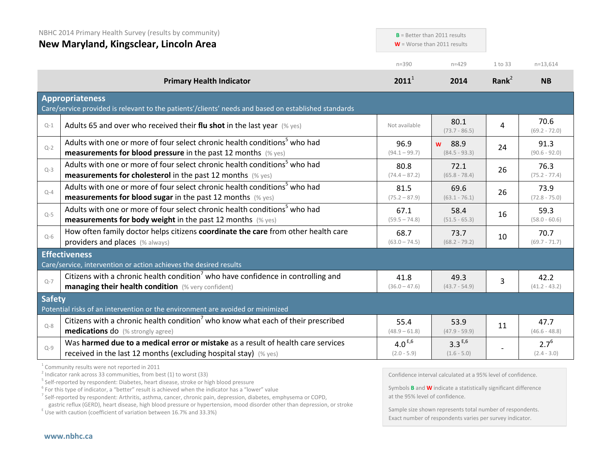|               | NBHC 2014 Primary Health Survey (results by community)<br>New Maryland, Kingsclear, Lincoln Area                                                              |                              | $B =$ Better than 2011 results<br>$W =$ Worse than 2011 results |                   |                            |
|---------------|---------------------------------------------------------------------------------------------------------------------------------------------------------------|------------------------------|-----------------------------------------------------------------|-------------------|----------------------------|
|               |                                                                                                                                                               | $n = 390$                    | $n = 429$                                                       | 1 to 33           | $n=13,614$                 |
|               | <b>Primary Health Indicator</b>                                                                                                                               | $2011^1$                     | 2014                                                            | Rank <sup>2</sup> | <b>NB</b>                  |
|               | <b>Appropriateness</b><br>Care/service provided is relevant to the patients'/clients' needs and based on established standards                                |                              |                                                                 |                   |                            |
| $Q-1$         | Adults 65 and over who received their flu shot in the last year $(\%$ yes)                                                                                    | Not available                | 80.1<br>$(73.7 - 86.5)$                                         | 4                 | 70.6<br>$(69.2 - 72.0)$    |
| $Q - 2$       | Adults with one or more of four select chronic health conditions <sup>5</sup> who had<br><b>measurements for blood pressure</b> in the past 12 months (% yes) | 96.9<br>$(94.1 - 99.7)$      | w 88.9<br>$(84.5 - 93.3)$                                       | 24                | 91.3<br>$(90.6 - 92.0)$    |
| $Q-3$         | Adults with one or more of four select chronic health conditions <sup>5</sup> who had<br><b>measurements for cholesterol</b> in the past 12 months (% yes)    | 80.8<br>$(74.4 - 87.2)$      | 72.1<br>$(65.8 - 78.4)$                                         | 26                | 76.3<br>$(75.2 - 77.4)$    |
| $O-4$         | Adults with one or more of four select chronic health conditions <sup>5</sup> who had<br><b>measurements for blood sugar in the past 12 months</b> (% yes)    | 81.5<br>$(75.2 - 87.9)$      | 69.6<br>$(63.1 - 76.1)$                                         | 26                | 73.9<br>$(72.8 - 75.0)$    |
| $Q-5$         | Adults with one or more of four select chronic health conditions <sup>5</sup> who had<br><b>measurements for body weight</b> in the past 12 months $(\%$ yes) | 67.1<br>$(59.5 - 74.8)$      | 58.4<br>$(51.5 - 65.3)$                                         | 16                | 59.3<br>$(58.0 - 60.6)$    |
| $Q-6$         | How often family doctor helps citizens coordinate the care from other health care<br>providers and places (% always)                                          | 68.7<br>$(63.0 - 74.5)$      | 73.7<br>$(68.2 - 79.2)$                                         | 10                | 70.7<br>$(69.7 - 71.7)$    |
|               | <b>Effectiveness</b><br>Care/service, intervention or action achieves the desired results                                                                     |                              |                                                                 |                   |                            |
| $Q - 7$       | Citizens with a chronic health condition <sup>7</sup> who have confidence in controlling and<br>managing their health condition (% very confident)            | 41.8<br>$(36.0 - 47.6)$      | 49.3<br>$(43.7 - 54.9)$                                         | 3                 | 42.2<br>$(41.2 - 43.2)$    |
| <b>Safety</b> | Potential risks of an intervention or the environment are avoided or minimized                                                                                |                              |                                                                 |                   |                            |
| $Q - 8$       | Citizens with a chronic health condition <sup>7</sup> who know what each of their prescribed<br><b>medications do</b> (% strongly agree)                      | 55.4<br>$(48.9 - 61.8)$      | 53.9<br>$(47.9 - 59.9)$                                         | 11                | 47.7<br>$(46.6 - 48.8)$    |
| $Q-9$         | Was harmed due to a medical error or mistake as a result of health care services<br>received in the last 12 months (excluding hospital stay) (% yes)          | $4.0^{E,6}$<br>$(2.0 - 5.9)$ | $3.3^{E,6}$<br>$(1.6 - 5.0)$                                    |                   | $2.7^{6}$<br>$(2.4 - 3.0)$ |

<sup>1</sup> Community results were not reported in 2011

 $^{2}$  Indicator rank across 33 communities, from best (1) to worst (33)

<sup>5</sup> Self-reported by respondent: Diabetes, heart disease, stroke or high blood pressure

 $6$  For this type of indicator, a "better" result is achieved when the indicator has a "lower" value

<sup>7</sup> Self-reported by respondent: Arthritis, asthma, cancer, chronic pain, depression, diabetes, emphysema or COPD,

 $\epsilon$  Use with caution (coefficient of variation between 16.7% and 33.3%)

Confidence interval calculated at a 95% level of confidence.

Symbols **B** and **W** indicate a statistically significant difference at the 95% level of confidence.

Sample size shown represents total number of respondents. Exact number of respondents varies per survey indicator.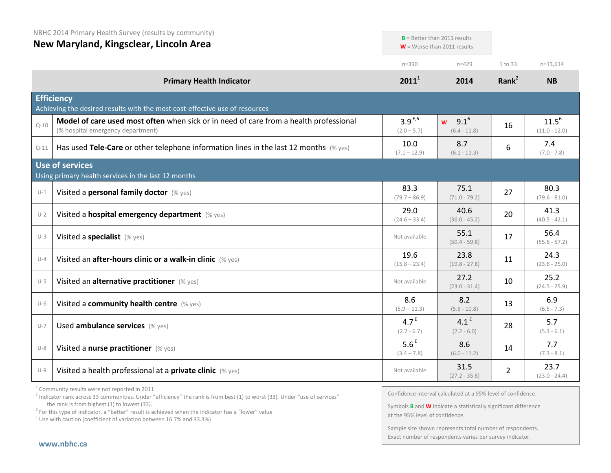|  |  | NBHC 2014 Primary Health Survey (results by community) |
|--|--|--------------------------------------------------------|
|--|--|--------------------------------------------------------|

**New Maryland, Kingsclear, Lincoln Area**

|          | <b>New IVIdi Vidilu, Kiliksciedi, Lilicolli Aled</b>                                                                       |                                   | $W =$ Worse than 2011 results               |                |                               |
|----------|----------------------------------------------------------------------------------------------------------------------------|-----------------------------------|---------------------------------------------|----------------|-------------------------------|
|          |                                                                                                                            | $n = 390$                         | $n = 429$                                   | 1 to 33        | $n=13,614$                    |
|          | <b>Primary Health Indicator</b>                                                                                            | $2011^1$                          | 2014                                        | Rank $^2$      | <b>NB</b>                     |
|          | <b>Efficiency</b><br>Achieving the desired results with the most cost-effective use of resources                           |                                   |                                             |                |                               |
| $Q - 10$ | Model of care used most often when sick or in need of care from a health professional<br>(% hospital emergency department) | $3.9^{E,6}$<br>$(2.0 - 5.7)$      | $9.1^{6}$<br>$\mathbf{w}$<br>$(6.4 - 11.8)$ | 16             | $11.5^{6}$<br>$(11.0 - 12.0)$ |
| $Q-11$   | Has used Tele-Care or other telephone information lines in the last 12 months $(\%$ yes)                                   | 10.0<br>$(7.1 - 12.9)$            | 8.7<br>$(6.1 - 11.3)$                       | 6              | 7.4<br>$(7.0 - 7.8)$          |
|          | Use of services<br>Using primary health services in the last 12 months                                                     |                                   |                                             |                |                               |
| $U-1$    | Visited a personal family doctor (% yes)                                                                                   | 83.3<br>$(79.7 - 86.9)$           | 75.1<br>$(71.0 - 79.2)$                     | 27             | 80.3<br>$(79.6 - 81.0)$       |
| $U-2$    | Visited a hospital emergency department (% yes)                                                                            | 29.0<br>$(24.6 - 33.4)$           | 40.6<br>$(36.0 - 45.2)$                     | 20             | 41.3<br>$(40.5 - 42.1)$       |
| $U-3$    | Visited a specialist (% yes)                                                                                               | Not available                     | 55.1<br>$(50.4 - 59.8)$                     | 17             | 56.4<br>$(55.6 - 57.2)$       |
| $U - 4$  | Visited an after-hours clinic or a walk-in clinic (% yes)                                                                  | 19.6<br>$(15.8 - 23.4)$           | 23.8<br>$(19.8 - 27.8)$                     | 11             | 24.3<br>$(23.6 - 25.0)$       |
| $U-5$    | Visited an alternative practitioner (% yes)                                                                                | Not available                     | 27.2<br>$(23.0 - 31.4)$                     | 10             | 25.2<br>$(24.5 - 25.9)$       |
| $U-6$    | Visited a community health centre (% yes)                                                                                  | 8.6<br>$(5.9 - 11.3)$             | 8.2<br>$(5.6 - 10.8)$                       | 13             | 6.9<br>$(6.5 - 7.3)$          |
| $U - 7$  | Used ambulance services (% yes)                                                                                            | 4.7 <sup>E</sup><br>$(2.7 - 6.7)$ | 4.1 <sup>E</sup><br>$(2.2 - 6.0)$           | 28             | 5.7<br>$(5.3 - 6.1)$          |
| $U-8$    | Visited a nurse practitioner (% yes)                                                                                       | 5.6 <sup>E</sup><br>$(3.4 - 7.8)$ | 8.6<br>$(6.0 - 11.2)$                       | 14             | 7.7<br>$(7.3 - 8.1)$          |
| $U-9$    | Visited a health professional at a private clinic (% yes)                                                                  | Not available                     | 31.5<br>$(27.2 - 35.8)$                     | $\overline{2}$ | 23.7<br>$(23.0 - 24.4)$       |

<sup>1</sup> Community results were not reported in 2011

<sup>2</sup> Indicator rank across 33 communities. Under "efficiency" the rank is from best (1) to worst (33). Under "use of services" the rank is from highest (1) to lowest (33).

the rank is from highest (1) to lowest (33).<br><sup>6</sup> For this type of indicator, a "better" result is achieved when the indicator has a "lower" value

 $E$  Use with caution (coefficient of variation between 16.7% and 33.3%)

Confidence interval calculated at a 95% level of confidence.

**B** = Better than 2011 results

Symbols **B** and **W** indicate a statistically significant difference at the 95% level of confidence.

Sample size shown represents total number of respondents. Exact number of respondents varies per survey indicator.